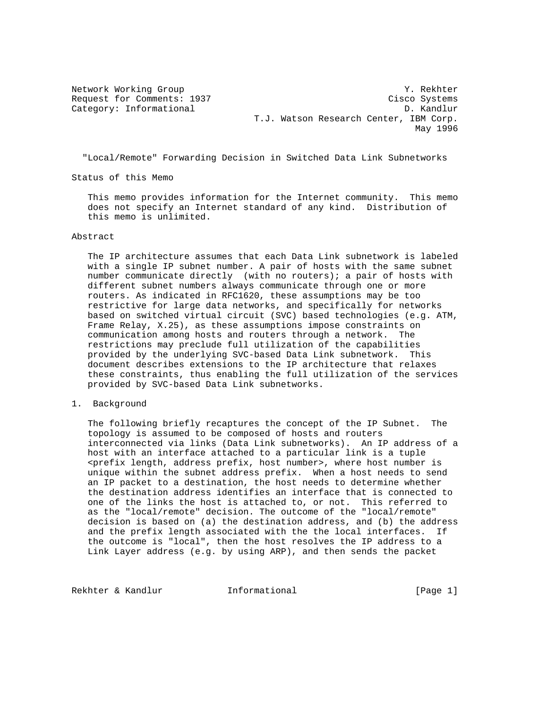Network Working Group 30 and 1999 and 1999 and 1999 and 1999 and 1999 and 1999 and 1999 and 1999 and 1999 and 1 Request for Comments: 1937 Cisco Systems Category: Informational D. Kandlur T.J. Watson Research Center, IBM Corp. May 1996

"Local/Remote" Forwarding Decision in Switched Data Link Subnetworks

Status of this Memo

 This memo provides information for the Internet community. This memo does not specify an Internet standard of any kind. Distribution of this memo is unlimited.

Abstract

 The IP architecture assumes that each Data Link subnetwork is labeled with a single IP subnet number. A pair of hosts with the same subnet number communicate directly (with no routers); a pair of hosts with different subnet numbers always communicate through one or more routers. As indicated in RFC1620, these assumptions may be too restrictive for large data networks, and specifically for networks based on switched virtual circuit (SVC) based technologies (e.g. ATM, Frame Relay, X.25), as these assumptions impose constraints on communication among hosts and routers through a network. The restrictions may preclude full utilization of the capabilities provided by the underlying SVC-based Data Link subnetwork. This document describes extensions to the IP architecture that relaxes these constraints, thus enabling the full utilization of the services provided by SVC-based Data Link subnetworks.

1. Background

 The following briefly recaptures the concept of the IP Subnet. The topology is assumed to be composed of hosts and routers interconnected via links (Data Link subnetworks). An IP address of a host with an interface attached to a particular link is a tuple <prefix length, address prefix, host number>, where host number is unique within the subnet address prefix. When a host needs to send an IP packet to a destination, the host needs to determine whether the destination address identifies an interface that is connected to one of the links the host is attached to, or not. This referred to as the "local/remote" decision. The outcome of the "local/remote" decision is based on (a) the destination address, and (b) the address and the prefix length associated with the the local interfaces. If the outcome is "local", then the host resolves the IP address to a Link Layer address (e.g. by using ARP), and then sends the packet

Rekhter & Kandlur **Informational** [Page 1]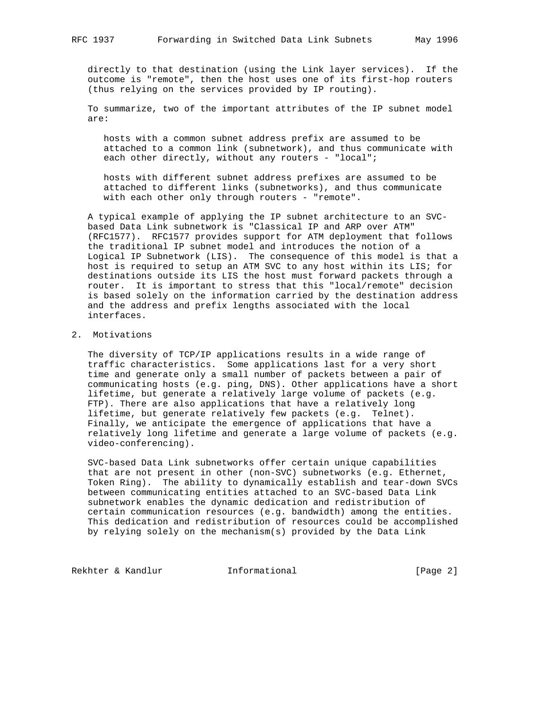directly to that destination (using the Link layer services). If the outcome is "remote", then the host uses one of its first-hop routers (thus relying on the services provided by IP routing).

 To summarize, two of the important attributes of the IP subnet model are:

 hosts with a common subnet address prefix are assumed to be attached to a common link (subnetwork), and thus communicate with each other directly, without any routers - "local";

 hosts with different subnet address prefixes are assumed to be attached to different links (subnetworks), and thus communicate with each other only through routers - "remote".

 A typical example of applying the IP subnet architecture to an SVC based Data Link subnetwork is "Classical IP and ARP over ATM" (RFC1577). RFC1577 provides support for ATM deployment that follows the traditional IP subnet model and introduces the notion of a Logical IP Subnetwork (LIS). The consequence of this model is that a host is required to setup an ATM SVC to any host within its LIS; for destinations outside its LIS the host must forward packets through a router. It is important to stress that this "local/remote" decision is based solely on the information carried by the destination address and the address and prefix lengths associated with the local interfaces.

## 2. Motivations

 The diversity of TCP/IP applications results in a wide range of traffic characteristics. Some applications last for a very short time and generate only a small number of packets between a pair of communicating hosts (e.g. ping, DNS). Other applications have a short lifetime, but generate a relatively large volume of packets (e.g. FTP). There are also applications that have a relatively long lifetime, but generate relatively few packets (e.g. Telnet). Finally, we anticipate the emergence of applications that have a relatively long lifetime and generate a large volume of packets (e.g. video-conferencing).

 SVC-based Data Link subnetworks offer certain unique capabilities that are not present in other (non-SVC) subnetworks (e.g. Ethernet, Token Ring). The ability to dynamically establish and tear-down SVCs between communicating entities attached to an SVC-based Data Link subnetwork enables the dynamic dedication and redistribution of certain communication resources (e.g. bandwidth) among the entities. This dedication and redistribution of resources could be accomplished by relying solely on the mechanism(s) provided by the Data Link

Rekhter & Kandlur **Informational** [Page 2]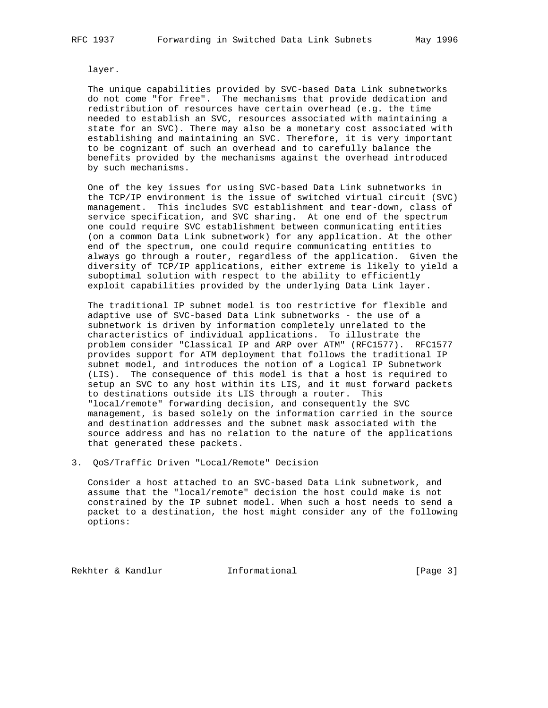layer.

 The unique capabilities provided by SVC-based Data Link subnetworks do not come "for free". The mechanisms that provide dedication and redistribution of resources have certain overhead (e.g. the time needed to establish an SVC, resources associated with maintaining a state for an SVC). There may also be a monetary cost associated with establishing and maintaining an SVC. Therefore, it is very important to be cognizant of such an overhead and to carefully balance the benefits provided by the mechanisms against the overhead introduced by such mechanisms.

 One of the key issues for using SVC-based Data Link subnetworks in the TCP/IP environment is the issue of switched virtual circuit (SVC) management. This includes SVC establishment and tear-down, class of service specification, and SVC sharing. At one end of the spectrum one could require SVC establishment between communicating entities (on a common Data Link subnetwork) for any application. At the other end of the spectrum, one could require communicating entities to always go through a router, regardless of the application. Given the diversity of TCP/IP applications, either extreme is likely to yield a suboptimal solution with respect to the ability to efficiently exploit capabilities provided by the underlying Data Link layer.

 The traditional IP subnet model is too restrictive for flexible and adaptive use of SVC-based Data Link subnetworks - the use of a subnetwork is driven by information completely unrelated to the characteristics of individual applications. To illustrate the problem consider "Classical IP and ARP over ATM" (RFC1577). RFC1577 provides support for ATM deployment that follows the traditional IP subnet model, and introduces the notion of a Logical IP Subnetwork (LIS). The consequence of this model is that a host is required to setup an SVC to any host within its LIS, and it must forward packets to destinations outside its LIS through a router. This "local/remote" forwarding decision, and consequently the SVC management, is based solely on the information carried in the source and destination addresses and the subnet mask associated with the source address and has no relation to the nature of the applications that generated these packets.

3. QoS/Traffic Driven "Local/Remote" Decision

 Consider a host attached to an SVC-based Data Link subnetwork, and assume that the "local/remote" decision the host could make is not constrained by the IP subnet model. When such a host needs to send a packet to a destination, the host might consider any of the following options:

Rekhter & Kandlur **Informational** [Page 3]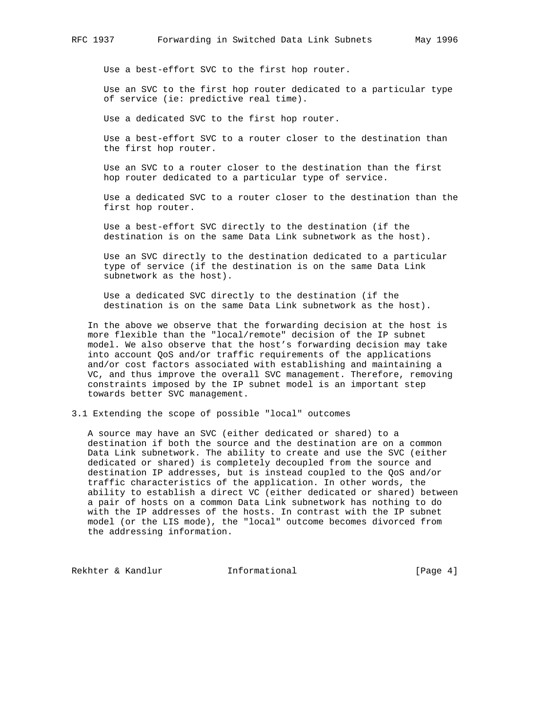Use a best-effort SVC to the first hop router.

 Use an SVC to the first hop router dedicated to a particular type of service (ie: predictive real time).

Use a dedicated SVC to the first hop router.

 Use a best-effort SVC to a router closer to the destination than the first hop router.

 Use an SVC to a router closer to the destination than the first hop router dedicated to a particular type of service.

 Use a dedicated SVC to a router closer to the destination than the first hop router.

 Use a best-effort SVC directly to the destination (if the destination is on the same Data Link subnetwork as the host).

 Use an SVC directly to the destination dedicated to a particular type of service (if the destination is on the same Data Link subnetwork as the host).

 Use a dedicated SVC directly to the destination (if the destination is on the same Data Link subnetwork as the host).

 In the above we observe that the forwarding decision at the host is more flexible than the "local/remote" decision of the IP subnet model. We also observe that the host's forwarding decision may take into account QoS and/or traffic requirements of the applications and/or cost factors associated with establishing and maintaining a VC, and thus improve the overall SVC management. Therefore, removing constraints imposed by the IP subnet model is an important step towards better SVC management.

3.1 Extending the scope of possible "local" outcomes

 A source may have an SVC (either dedicated or shared) to a destination if both the source and the destination are on a common Data Link subnetwork. The ability to create and use the SVC (either dedicated or shared) is completely decoupled from the source and destination IP addresses, but is instead coupled to the QoS and/or traffic characteristics of the application. In other words, the ability to establish a direct VC (either dedicated or shared) between a pair of hosts on a common Data Link subnetwork has nothing to do with the IP addresses of the hosts. In contrast with the IP subnet model (or the LIS mode), the "local" outcome becomes divorced from the addressing information.

Rekhter & Kandlur **Informational** [Page 4]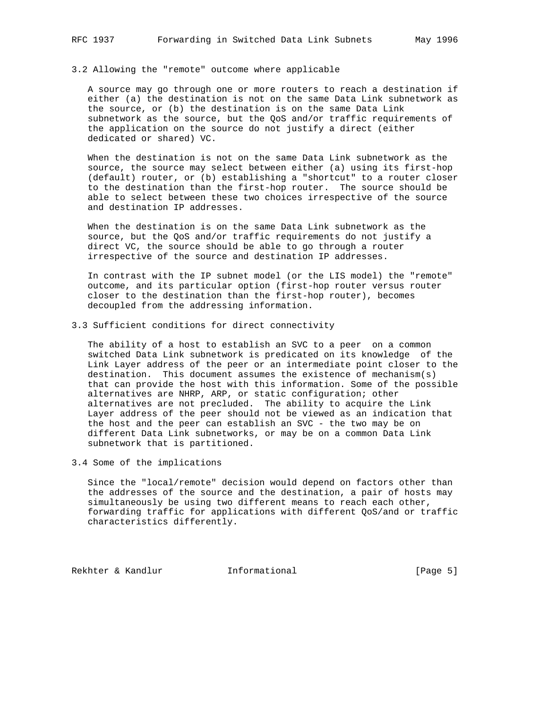## 3.2 Allowing the "remote" outcome where applicable

 A source may go through one or more routers to reach a destination if either (a) the destination is not on the same Data Link subnetwork as the source, or (b) the destination is on the same Data Link subnetwork as the source, but the QoS and/or traffic requirements of the application on the source do not justify a direct (either dedicated or shared) VC.

 When the destination is not on the same Data Link subnetwork as the source, the source may select between either (a) using its first-hop (default) router, or (b) establishing a "shortcut" to a router closer to the destination than the first-hop router. The source should be able to select between these two choices irrespective of the source and destination IP addresses.

 When the destination is on the same Data Link subnetwork as the source, but the QoS and/or traffic requirements do not justify a direct VC, the source should be able to go through a router irrespective of the source and destination IP addresses.

 In contrast with the IP subnet model (or the LIS model) the "remote" outcome, and its particular option (first-hop router versus router closer to the destination than the first-hop router), becomes decoupled from the addressing information.

3.3 Sufficient conditions for direct connectivity

 The ability of a host to establish an SVC to a peer on a common switched Data Link subnetwork is predicated on its knowledge of the Link Layer address of the peer or an intermediate point closer to the destination. This document assumes the existence of mechanism(s) that can provide the host with this information. Some of the possible alternatives are NHRP, ARP, or static configuration; other alternatives are not precluded. The ability to acquire the Link Layer address of the peer should not be viewed as an indication that the host and the peer can establish an SVC - the two may be on different Data Link subnetworks, or may be on a common Data Link subnetwork that is partitioned.

3.4 Some of the implications

 Since the "local/remote" decision would depend on factors other than the addresses of the source and the destination, a pair of hosts may simultaneously be using two different means to reach each other, forwarding traffic for applications with different QoS/and or traffic characteristics differently.

Rekhter & Kandlur **Informational** [Page 5]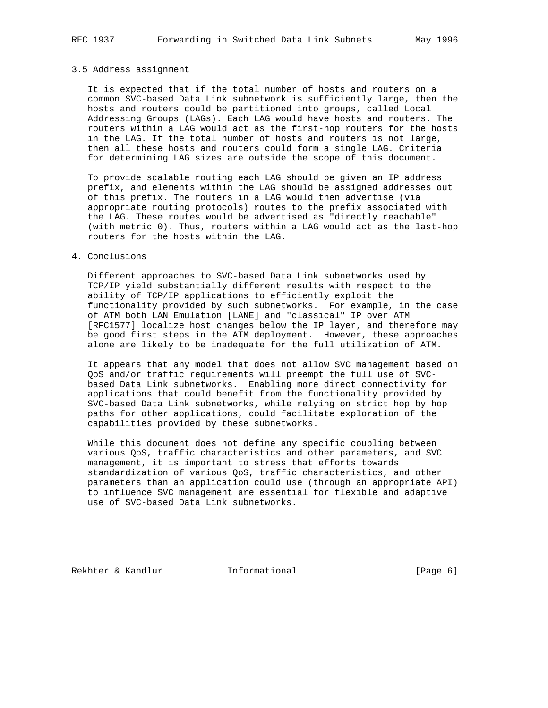## 3.5 Address assignment

 It is expected that if the total number of hosts and routers on a common SVC-based Data Link subnetwork is sufficiently large, then the hosts and routers could be partitioned into groups, called Local Addressing Groups (LAGs). Each LAG would have hosts and routers. The routers within a LAG would act as the first-hop routers for the hosts in the LAG. If the total number of hosts and routers is not large, then all these hosts and routers could form a single LAG. Criteria for determining LAG sizes are outside the scope of this document.

 To provide scalable routing each LAG should be given an IP address prefix, and elements within the LAG should be assigned addresses out of this prefix. The routers in a LAG would then advertise (via appropriate routing protocols) routes to the prefix associated with the LAG. These routes would be advertised as "directly reachable" (with metric 0). Thus, routers within a LAG would act as the last-hop routers for the hosts within the LAG.

## 4. Conclusions

 Different approaches to SVC-based Data Link subnetworks used by TCP/IP yield substantially different results with respect to the ability of TCP/IP applications to efficiently exploit the functionality provided by such subnetworks. For example, in the case of ATM both LAN Emulation [LANE] and "classical" IP over ATM [RFC1577] localize host changes below the IP layer, and therefore may be good first steps in the ATM deployment. However, these approaches alone are likely to be inadequate for the full utilization of ATM.

 It appears that any model that does not allow SVC management based on QoS and/or traffic requirements will preempt the full use of SVC based Data Link subnetworks. Enabling more direct connectivity for applications that could benefit from the functionality provided by SVC-based Data Link subnetworks, while relying on strict hop by hop paths for other applications, could facilitate exploration of the capabilities provided by these subnetworks.

 While this document does not define any specific coupling between various QoS, traffic characteristics and other parameters, and SVC management, it is important to stress that efforts towards standardization of various QoS, traffic characteristics, and other parameters than an application could use (through an appropriate API) to influence SVC management are essential for flexible and adaptive use of SVC-based Data Link subnetworks.

Rekhter & Kandlur **Informational** [Page 6]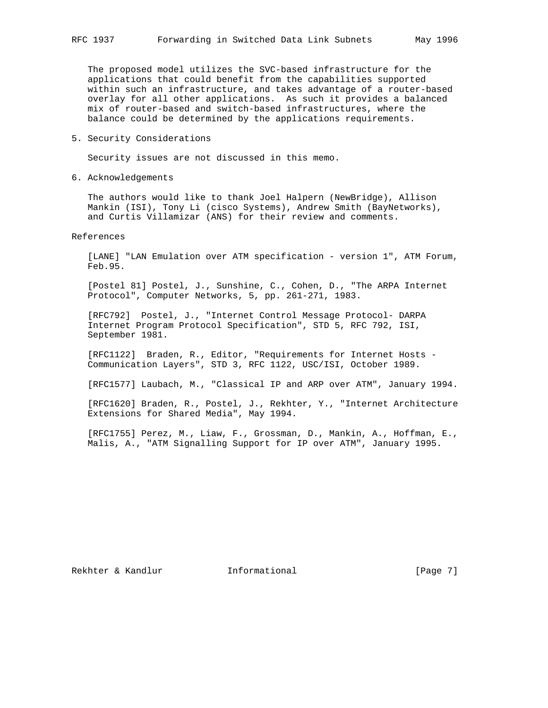The proposed model utilizes the SVC-based infrastructure for the applications that could benefit from the capabilities supported within such an infrastructure, and takes advantage of a router-based overlay for all other applications. As such it provides a balanced mix of router-based and switch-based infrastructures, where the balance could be determined by the applications requirements.

5. Security Considerations

Security issues are not discussed in this memo.

6. Acknowledgements

 The authors would like to thank Joel Halpern (NewBridge), Allison Mankin (ISI), Tony Li (cisco Systems), Andrew Smith (BayNetworks), and Curtis Villamizar (ANS) for their review and comments.

References

 [LANE] "LAN Emulation over ATM specification - version 1", ATM Forum, Feb.95.

 [Postel 81] Postel, J., Sunshine, C., Cohen, D., "The ARPA Internet Protocol", Computer Networks, 5, pp. 261-271, 1983.

 [RFC792] Postel, J., "Internet Control Message Protocol- DARPA Internet Program Protocol Specification", STD 5, RFC 792, ISI, September 1981.

 [RFC1122] Braden, R., Editor, "Requirements for Internet Hosts - Communication Layers", STD 3, RFC 1122, USC/ISI, October 1989.

[RFC1577] Laubach, M., "Classical IP and ARP over ATM", January 1994.

 [RFC1620] Braden, R., Postel, J., Rekhter, Y., "Internet Architecture Extensions for Shared Media", May 1994.

 [RFC1755] Perez, M., Liaw, F., Grossman, D., Mankin, A., Hoffman, E., Malis, A., "ATM Signalling Support for IP over ATM", January 1995.

Rekhter & Kandlur **Informational** [Page 7]